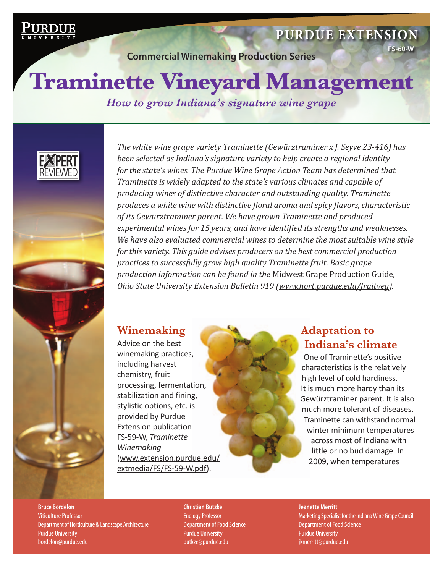

# **[Purdue Extension](http://www.ag.purdue.edu/extension)**

**Commercial Winemaking Production Series**

**FS-60-W**

# **Traminette Vineyard Management**

*How to grow Indiana's signature wine grape*



*The white wine grape variety Traminette (Gewürztraminer x J. Seyve 23-416) has been selected as Indiana's signature variety to help create a regional identity for the state's wines. The Purdue Wine Grape Action Team has determined that Traminette is widely adapted to the state's various climates and capable of producing wines of distinctive character and outstanding quality. Traminette produces a white wine with distinctive floral aroma and spicy flavors, characteristic of its Gewürztraminer parent. We have grown Traminette and produced experimental wines for 15 years, and have identified its strengths and weaknesses. We have also evaluated commercial wines to determine the most suitable wine style for this variety. This guide advises producers on the best commercial production practices to successfully grow high quality Traminette fruit. Basic grape production information can be found in the* Midwest Grape Production Guide*, Ohio State University Extension Bulletin 919 (www.hort.purdue.edu/fruitveg).*

# **Winemaking**

Advice on the best winemaking practices, including harvest chemistry, fruit processing, fermentation, stabilization and fining, stylistic options, etc. is provided by Purdue Extension publication FS-59-W, *Traminette Winemaking* [\(www.extension.purdue.edu/](www.extension.purdue.edu/extmedia/FS/FS-59-W.pdf) extmedia/FS/FS-59-W.pdf).



One of Traminette's positive characteristics is the relatively high level of cold hardiness. It is much more hardy than its Gewürztraminer parent. It is also much more tolerant of diseases. Traminette can withstand normal winter minimum temperatures across most of Indiana with little or no bud damage. In 2009, when temperatures

**Bruce Bordelon** Viticulture Professor Department of Horticulture & Landscape Architecture Purdue University bordelon@purdue.edu

**Christian Butzke** Enology Professor Department of Food Science Purdue University butkze@purdue.edu

#### **Jeanette Merritt**

Marketing Specialist for the Indiana Wine Grape Council Department of Food Science Purdue University jkmerritt@purdue.edu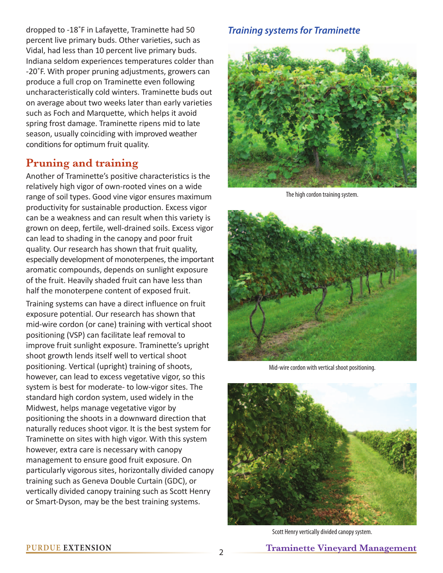dropped to -18˚F in Lafayette, Traminette had 50 percent live primary buds. Other varieties, such as Vidal, had less than 10 percent live primary buds. Indiana seldom experiences temperatures colder than -20˚F. With proper pruning adjustments, growers can produce a full crop on Traminette even following uncharacteristically cold winters. Traminette buds out on average about two weeks later than early varieties such as Foch and Marquette, which helps it avoid spring frost damage. Traminette ripens mid to late season, usually coinciding with improved weather conditions for optimum fruit quality.

## **Pruning and training**

Another of Traminette's positive characteristics is the relatively high vigor of own-rooted vines on a wide range of soil types. Good vine vigor ensures maximum productivity for sustainable production. Excess vigor can be a weakness and can result when this variety is grown on deep, fertile, well-drained soils. Excess vigor can lead to shading in the canopy and poor fruit quality. Our research has shown that fruit quality, especially development of monoterpenes, the important aromatic compounds, depends on sunlight exposure of the fruit. Heavily shaded fruit can have less than half the monoterpene content of exposed fruit.

Training systems can have a direct influence on fruit exposure potential. Our research has shown that mid-wire cordon (or cane) training with vertical shoot positioning (VSP) can facilitate leaf removal to improve fruit sunlight exposure. Traminette's upright shoot growth lends itself well to vertical shoot positioning. Vertical (upright) training of shoots, however, can lead to excess vegetative vigor, so this system is best for moderate- to low-vigor sites. The standard high cordon system, used widely in the Midwest, helps manage vegetative vigor by positioning the shoots in a downward direction that naturally reduces shoot vigor. It is the best system for Traminette on sites with high vigor. With this system however, extra care is necessary with canopy management to ensure good fruit exposure. On particularly vigorous sites, horizontally divided canopy training such as Geneva Double Curtain (GDC), or vertically divided canopy training such as Scott Henry or Smart-Dyson, may be the best training systems.

#### *Training systems for Traminette*



The high cordon training system.



Mid-wire cordon with vertical shoot positioning.



Scott Henry vertically divided canopy system.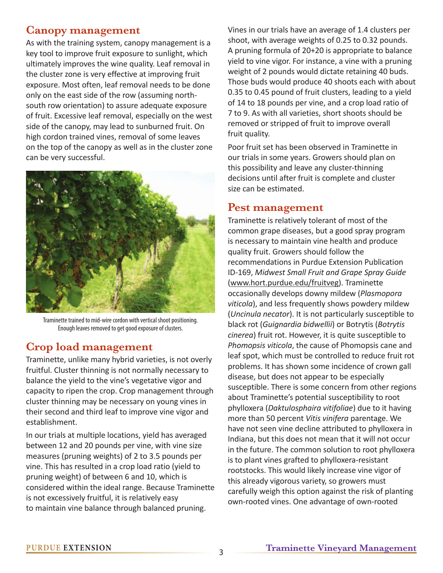#### **Canopy management**

As with the training system, canopy management is a key tool to improve fruit exposure to sunlight, which ultimately improves the wine quality. Leaf removal in the cluster zone is very effective at improving fruit exposure. Most often, leaf removal needs to be done only on the east side of the row (assuming northsouth row orientation) to assure adequate exposure of fruit. Excessive leaf removal, especially on the west side of the canopy, may lead to sunburned fruit. On high cordon trained vines, removal of some leaves on the top of the canopy as well as in the cluster zone can be very successful.



Traminette trained to mid-wire cordon with vertical shoot positioning. Enough leaves removed to get good exposure of clusters.

### **Crop load management**

Traminette, unlike many hybrid varieties, is not overly fruitful. Cluster thinning is not normally necessary to balance the yield to the vine's vegetative vigor and capacity to ripen the crop. Crop management through cluster thinning may be necessary on young vines in their second and third leaf to improve vine vigor and establishment.

In our trials at multiple locations, yield has averaged between 12 and 20 pounds per vine, with vine size measures (pruning weights) of 2 to 3.5 pounds per vine. This has resulted in a crop load ratio (yield to pruning weight) of between 6 and 10, which is considered within the ideal range. Because Traminette is not excessively fruitful, it is relatively easy to maintain vine balance through balanced pruning.

Vines in our trials have an average of 1.4 clusters per shoot, with average weights of 0.25 to 0.32 pounds. A pruning formula of 20+20 is appropriate to balance yield to vine vigor. For instance, a vine with a pruning weight of 2 pounds would dictate retaining 40 buds. Those buds would produce 40 shoots each with about 0.35 to 0.45 pound of fruit clusters, leading to a yield of 14 to 18 pounds per vine, and a crop load ratio of 7 to 9. As with all varieties, short shoots should be removed or stripped of fruit to improve overall fruit quality.

Poor fruit set has been observed in Traminette in our trials in some years. Growers should plan on this possibility and leave any cluster-thinning decisions until after fruit is complete and cluster size can be estimated.

#### **Pest management**

Traminette is relatively tolerant of most of the common grape diseases, but a good spray program is necessary to maintain vine health and produce quality fruit. Growers should follow the recommendations in Purdue Extension Publication ID-169, *Midwest Small Fruit and Grape Spray Guide* (www.hort.purdue.edu/fruitveg). Traminette occasionally develops downy mildew (*Plasmopora viticola*), and less frequently shows powdery mildew (*Uncinula necator*). It is not particularly susceptible to black rot (*Guignardia bidwellii*) or Botrytis (*Botrytis cinerea*) fruit rot. However, it is quite susceptible to *Phomopsis viticola*, the cause of Phomopsis cane and leaf spot, which must be controlled to reduce fruit rot problems. It has shown some incidence of crown gall disease, but does not appear to be especially susceptible. There is some concern from other regions about Traminette's potential susceptibility to root phylloxera (*Daktulosphaira vitifoliae*) due to it having more than 50 percent *Vitis vinifera* parentage. We have not seen vine decline attributed to phylloxera in Indiana, but this does not mean that it will not occur in the future. The common solution to root phylloxera is to plant vines grafted to phylloxera-resistant rootstocks. This would likely increase vine vigor of this already vigorous variety, so growers must carefully weigh this option against the risk of planting own-rooted vines. One advantage of own-rooted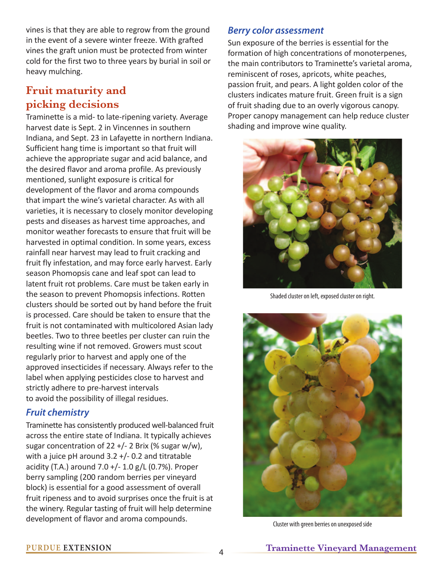vines is that they are able to regrow from the ground in the event of a severe winter freeze. With grafted vines the graft union must be protected from winter cold for the first two to three years by burial in soil or heavy mulching.

# **Fruit maturity and picking decisions**

Traminette is a mid- to late-ripening variety. Average harvest date is Sept. 2 in Vincennes in southern Indiana, and Sept. 23 in Lafayette in northern Indiana. Sufficient hang time is important so that fruit will achieve the appropriate sugar and acid balance, and the desired flavor and aroma profile. As previously mentioned, sunlight exposure is critical for development of the flavor and aroma compounds that impart the wine's varietal character. As with all varieties, it is necessary to closely monitor developing pests and diseases as harvest time approaches, and monitor weather forecasts to ensure that fruit will be harvested in optimal condition. In some years, excess rainfall near harvest may lead to fruit cracking and fruit fly infestation, and may force early harvest. Early season Phomopsis cane and leaf spot can lead to latent fruit rot problems. Care must be taken early in the season to prevent Phomopsis infections. Rotten clusters should be sorted out by hand before the fruit is processed. Care should be taken to ensure that the fruit is not contaminated with multicolored Asian lady beetles. Two to three beetles per cluster can ruin the resulting wine if not removed. Growers must scout regularly prior to harvest and apply one of the approved insecticides if necessary. Always refer to the label when applying pesticides close to harvest and strictly adhere to pre-harvest intervals to avoid the possibility of illegal residues.

#### *Fruit chemistry*

Traminette has consistently produced well-balanced fruit across the entire state of Indiana. It typically achieves sugar concentration of  $22 +/- 2$  Brix (% sugar w/w), with a juice pH around  $3.2 +/- 0.2$  and titratable acidity (T.A.) around  $7.0 +/- 1.0$  g/L (0.7%). Proper berry sampling (200 random berries per vineyard block) is essential for a good assessment of overall fruit ripeness and to avoid surprises once the fruit is at the winery. Regular tasting of fruit will help determine development of flavor and aroma compounds.

#### *Berry color assessment*

Sun exposure of the berries is essential for the formation of high concentrations of monoterpenes, the main contributors to Traminette's varietal aroma, reminiscent of roses, apricots, white peaches, passion fruit, and pears. A light golden color of the clusters indicates mature fruit. Green fruit is a sign of fruit shading due to an overly vigorous canopy. Proper canopy management can help reduce cluster shading and improve wine quality.



Shaded cluster on left, exposed cluster on right.



Cluster with green berries on unexposed side